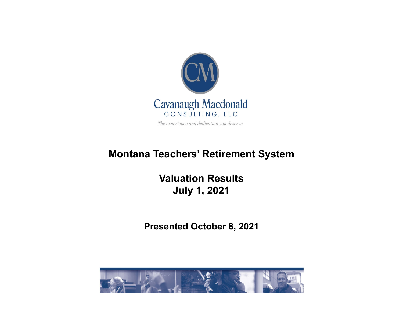

The experience and dedication you deserve

#### **Montana Teachers' Retirement System**

**Valuation ResultsJuly 1, 2021**

**Presented October 8, 2021**

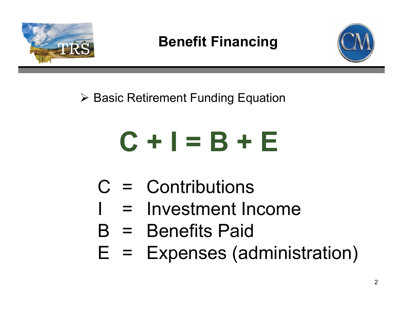

#### **Benefit Financing**



▶ Basic Retirement Funding Equation

# **C + I = B + E**

- C = Contributions
- = Investment Income
- B = Benefits Paid
- Expenses (administration) =E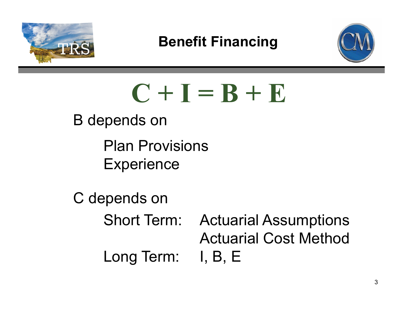

#### **Benefit Financing**



 $C + I = B + E$ 

B depends on

 Plan Provisions **Experience** 

C depends on Short Term: Actuarial Assumptions Actuarial Cost MethodLong Term: I, B, E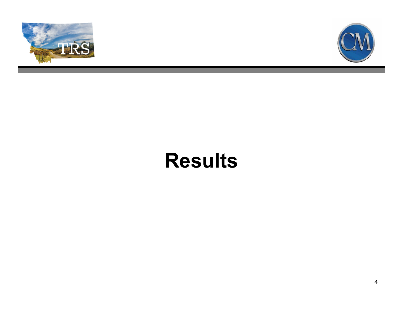



## **Results**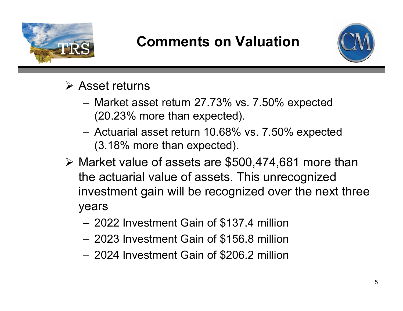

#### **Comments on Valuation**



- **≻ Asset returns** 
	- Market asset return 27.73% vs. 7.50% expected (20.23% more than expected).
	- Actuarial asset return 10.68% vs. 7.50% expected (3.18% more than expected).
- Market value of assets are \$500,474,681 more than the actuarial value of assets. This unrecognized investment gain will be recognized over the next three years
	- 2022 Investment Gain of \$137.4 million
	- 2023 Investment Gain of \$156.8 million
	- 2024 Investment Gain of \$206.2 million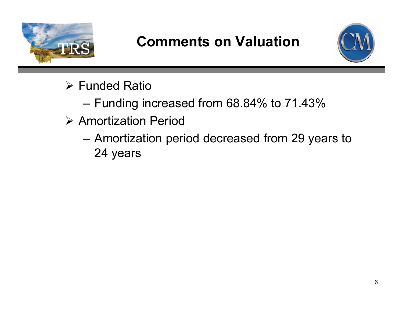

### **Comments on Valuation**



- **▶ Funded Ratio** 
	- Funding increased from 68.84% to 71.43%
- **▶ Amortization Period** 
	- Amortization period decreased from 29 years to 24 years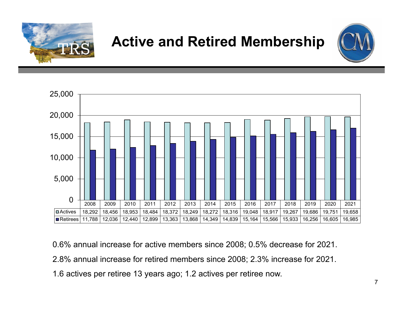

### **Active and Retired Membership**





0.6% annual increase for active members since 2008; 0.5% decrease for 2021. 2.8% annual increase for retired members since 2008; 2.3% increase for 2021. 1.6 actives per retiree 13 years ago; 1.2 actives per retiree now.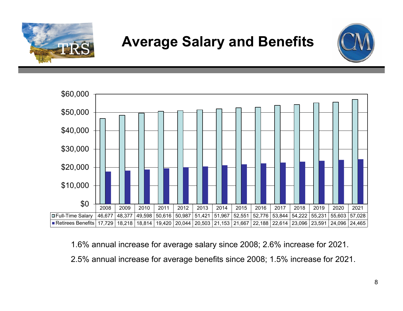

#### **Average Salary and Benefits**





1.6% annual increase for average salary since 2008; 2.6% increase for 2021. 2.5% annual increase for average benefits since 2008; 1.5% increase for 2021.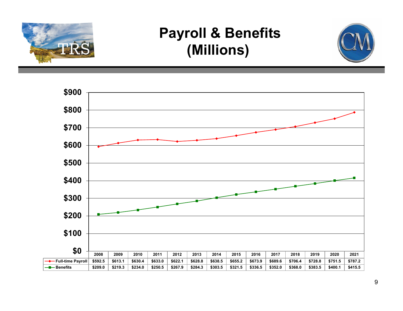

#### **Payroll & Benefits (Millions)**



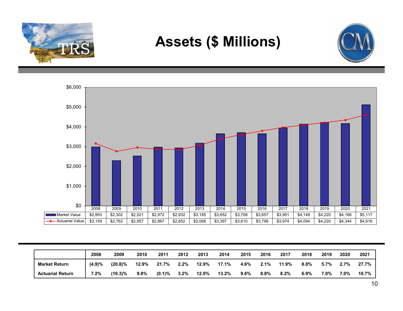

#### **Assets (\$ Millions)**





|                         | 2008   | 2009       | 2010    | 2011      | 2012    | 2013  | 2014  | 2015    | 2016    | 2017    | 2018 | 2019 | 2020    | 2021  |
|-------------------------|--------|------------|---------|-----------|---------|-------|-------|---------|---------|---------|------|------|---------|-------|
| <b>Market Return</b>    | (4.9)% | (20.8)%    | 12.9%   | 21.7%     | $2.2\%$ | 12.9% | 17.1% | 4.6%    | 2.1%    | 11.9%   | 8.8% | 5.7% | $2.7\%$ | 27.7% |
| <b>Actuarial Return</b> | 7.2%   | $(10.3)\%$ | $9.8\%$ | $(0.1)\%$ | $3.2\%$ | 12.0% | 13.2% | $9.6\%$ | $8.8\%$ | $8.2\%$ | 6.9% | 7.0% | 7.0%    | 10.7% |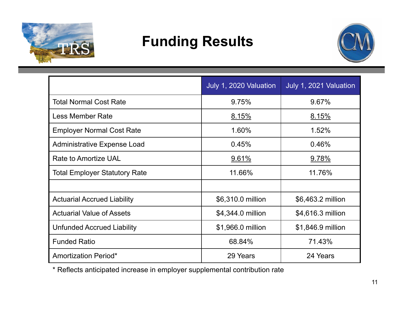

#### **Funding Results**



|                                      | July 1, 2020 Valuation | July 1, 2021 Valuation |  |  |
|--------------------------------------|------------------------|------------------------|--|--|
| <b>Total Normal Cost Rate</b>        | 9.75%                  | 9.67%                  |  |  |
| <b>Less Member Rate</b>              | 8.15%                  | <u>8.15%</u>           |  |  |
| <b>Employer Normal Cost Rate</b>     | 1.60%                  | 1.52%                  |  |  |
| <b>Administrative Expense Load</b>   | 0.45%                  | 0.46%                  |  |  |
| <b>Rate to Amortize UAL</b>          | 9.61%                  | <u>9.78%</u>           |  |  |
| <b>Total Employer Statutory Rate</b> | 11.66%                 | 11.76%                 |  |  |
|                                      |                        |                        |  |  |
| <b>Actuarial Accrued Liability</b>   | \$6,310.0 million      | \$6,463.2 million      |  |  |
| <b>Actuarial Value of Assets</b>     | \$4,344.0 million      | \$4,616.3 million      |  |  |
| <b>Unfunded Accrued Liability</b>    | \$1,966.0 million      | \$1,846.9 million      |  |  |
| <b>Funded Ratio</b>                  | 68.84%                 | 71.43%                 |  |  |
| <b>Amortization Period*</b>          | 29 Years               | 24 Years               |  |  |

\* Reflects anticipated increase in employer supplemental contribution rate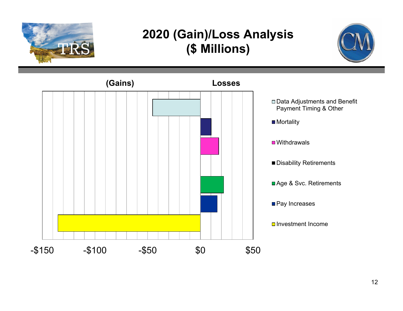

#### **2020 (Gain)/Loss Analysis (\$ Millions)**



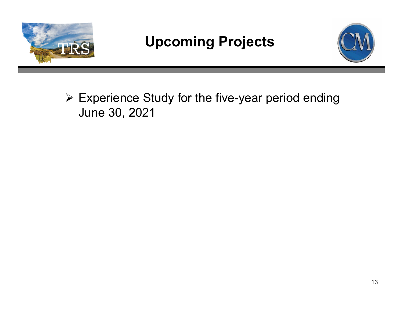

### **Upcoming Projects**



 Experience Study for the five-year period ending June 30, 2021